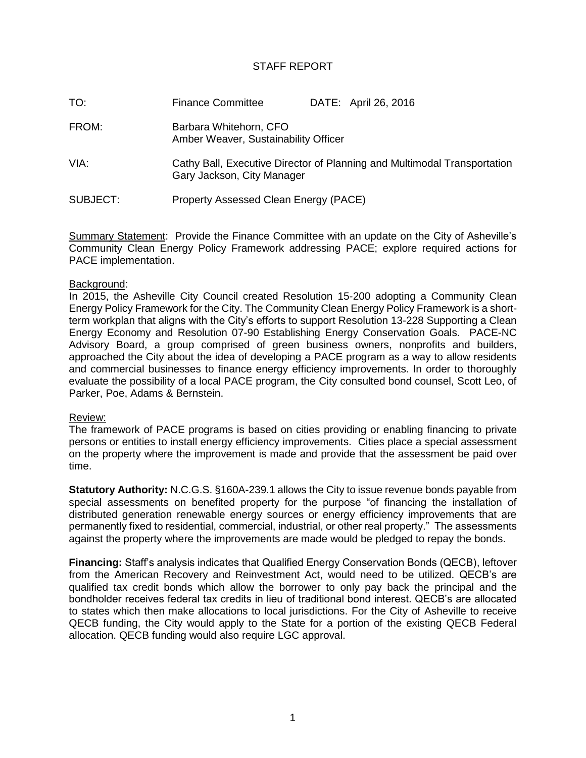# STAFF REPORT

| TO:      | <b>Finance Committee</b>                                       | DATE: April 26, 2016                                                     |
|----------|----------------------------------------------------------------|--------------------------------------------------------------------------|
| FROM:    | Barbara Whitehorn, CFO<br>Amber Weaver, Sustainability Officer |                                                                          |
| VIA:     | Gary Jackson, City Manager                                     | Cathy Ball, Executive Director of Planning and Multimodal Transportation |
| SUBJECT: | Property Assessed Clean Energy (PACE)                          |                                                                          |

Summary Statement: Provide the Finance Committee with an update on the City of Asheville's Community Clean Energy Policy Framework addressing PACE; explore required actions for PACE implementation.

## Background:

In 2015, the Asheville City Council created Resolution 15-200 adopting a Community Clean Energy Policy Framework for the City. The Community Clean Energy Policy Framework is a shortterm workplan that aligns with the City's efforts to support Resolution 13-228 Supporting a Clean Energy Economy and Resolution 07-90 Establishing Energy Conservation Goals. PACE-NC Advisory Board, a group comprised of green business owners, nonprofits and builders, approached the City about the idea of developing a PACE program as a way to allow residents and commercial businesses to finance energy efficiency improvements. In order to thoroughly evaluate the possibility of a local PACE program, the City consulted bond counsel, Scott Leo, of Parker, Poe, Adams & Bernstein.

## Review:

The framework of PACE programs is based on cities providing or enabling financing to private persons or entities to install energy efficiency improvements. Cities place a special assessment on the property where the improvement is made and provide that the assessment be paid over time.

**Statutory Authority:** N.C.G.S. §160A-239.1 allows the City to issue revenue bonds payable from special assessments on benefited property for the purpose "of financing the installation of distributed generation renewable energy sources or energy efficiency improvements that are permanently fixed to residential, commercial, industrial, or other real property." The assessments against the property where the improvements are made would be pledged to repay the bonds.

**Financing:** Staff's analysis indicates that Qualified Energy Conservation Bonds (QECB), leftover from the American Recovery and Reinvestment Act, would need to be utilized. QECB's are qualified tax credit bonds which allow the borrower to only pay back the principal and the bondholder receives federal tax credits in lieu of traditional bond interest. QECB's are allocated to states which then make allocations to local jurisdictions. For the City of Asheville to receive QECB funding, the City would apply to the State for a portion of the existing QECB Federal allocation. QECB funding would also require LGC approval.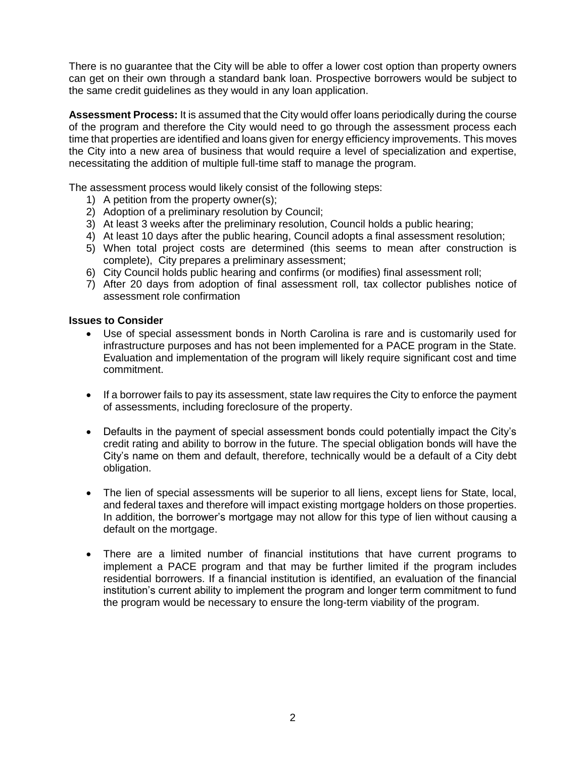There is no guarantee that the City will be able to offer a lower cost option than property owners can get on their own through a standard bank loan. Prospective borrowers would be subject to the same credit guidelines as they would in any loan application.

**Assessment Process:** It is assumed that the City would offer loans periodically during the course of the program and therefore the City would need to go through the assessment process each time that properties are identified and loans given for energy efficiency improvements. This moves the City into a new area of business that would require a level of specialization and expertise, necessitating the addition of multiple full-time staff to manage the program.

The assessment process would likely consist of the following steps:

- 1) A petition from the property owner(s);
- 2) Adoption of a preliminary resolution by Council;
- 3) At least 3 weeks after the preliminary resolution, Council holds a public hearing;
- 4) At least 10 days after the public hearing, Council adopts a final assessment resolution;
- 5) When total project costs are determined (this seems to mean after construction is complete), City prepares a preliminary assessment;
- 6) City Council holds public hearing and confirms (or modifies) final assessment roll;
- 7) After 20 days from adoption of final assessment roll, tax collector publishes notice of assessment role confirmation

## **Issues to Consider**

- Use of special assessment bonds in North Carolina is rare and is customarily used for infrastructure purposes and has not been implemented for a PACE program in the State. Evaluation and implementation of the program will likely require significant cost and time commitment.
- If a borrower fails to pay its assessment, state law requires the City to enforce the payment of assessments, including foreclosure of the property.
- Defaults in the payment of special assessment bonds could potentially impact the City's credit rating and ability to borrow in the future. The special obligation bonds will have the City's name on them and default, therefore, technically would be a default of a City debt obligation.
- The lien of special assessments will be superior to all liens, except liens for State, local, and federal taxes and therefore will impact existing mortgage holders on those properties. In addition, the borrower's mortgage may not allow for this type of lien without causing a default on the mortgage.
- There are a limited number of financial institutions that have current programs to implement a PACE program and that may be further limited if the program includes residential borrowers. If a financial institution is identified, an evaluation of the financial institution's current ability to implement the program and longer term commitment to fund the program would be necessary to ensure the long-term viability of the program.